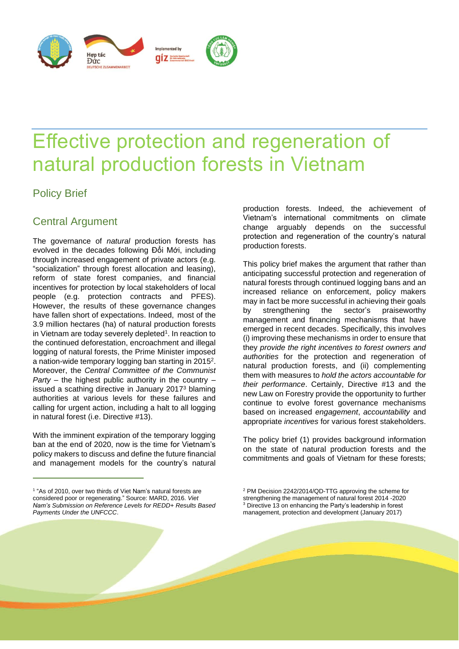

# Effective protection and regeneration of natural production forests in Vietnam

# Policy Brief

## Central Argument

The governance of *natural* production forests has evolved in the decades following Đổi Mới, including through increased engagement of private actors (e.g. "socialization" through forest allocation and leasing), reform of state forest companies, and financial incentives for protection by local stakeholders of local people (e.g. protection contracts and PFES). However, the results of these governance changes have fallen short of expectations. Indeed, most of the 3.9 million hectares (ha) of natural production forests in Vietnam are today severely depleted<sup>1</sup>. In reaction to the continued deforestation, encroachment and illegal logging of natural forests, the Prime Minister imposed a nation-wide temporary logging ban starting in 2015 2 . Moreover, the *Central Committee of the Communist Party* – the highest public authority in the country – issued a scathing directive in January 2017<sup>3</sup> blaming authorities at various levels for these failures and calling for urgent action, including a halt to all logging in natural forest (i.e. Directive #13).

With the imminent expiration of the temporary logging ban at the end of 2020, now is the time for Vietnam's policy makers to discuss and define the future financial and management models for the country's natural

production forests. Indeed, the achievement of Vietnam's international commitments on climate change arguably depends on the successful protection and regeneration of the country's natural production forests.

This policy brief makes the argument that rather than anticipating successful protection and regeneration of natural forests through continued logging bans and an increased reliance on enforcement, policy makers may in fact be more successful in achieving their goals by strengthening the sector's praiseworthy management and financing mechanisms that have emerged in recent decades. Specifically, this involves (i) improving these mechanisms in order to ensure that they *provide the right incentives to forest owners and authorities* for the protection and regeneration of natural production forests, and (ii) complementing them with measures to *hold the actors accountable for their performance*. Certainly, Directive #13 and the new Law on Forestry provide the opportunity to further continue to evolve forest governance mechanisms based on increased *engagement*, *accountability* and appropriate *incentives* for various forest stakeholders.

The policy brief (1) provides background information on the state of natural production forests and the commitments and goals of Vietnam for these forests;

<sup>1</sup> "As of 2010, over two thirds of Viet Nam's natural forests are considered poor or regenerating." Source: MARD, 2016. *Viet Nam's Submission on Reference Levels for REDD+ Results Based Payments Under the UNFCCC*.

<sup>2</sup> PM Decision 2242/2014/QD-TTG approving the scheme for strengthening the management of natural forest 2014 -2020 <sup>3</sup> Directive 13 on enhancing the Party's leadership in forest management, protection and development (January 2017)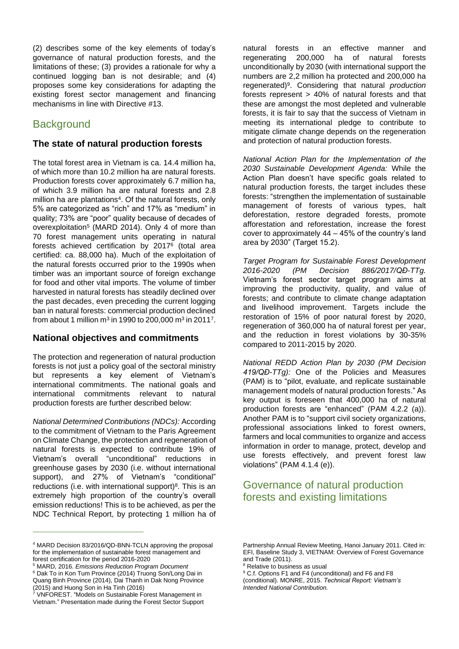(2) describes some of the key elements of today's governance of natural production forests, and the limitations of these; (3) provides a rationale for why a continued logging ban is not desirable; and (4) proposes some key considerations for adapting the existing forest sector management and financing mechanisms in line with Directive #13.

### **Background**

#### **The state of natural production forests**

The total forest area in Vietnam is ca. 14.4 million ha, of which more than 10.2 million ha are natural forests. Production forests cover approximately 6.7 million ha, of which 3.9 million ha are natural forests and 2.8 million ha are plantations<sup>4</sup>. Of the natural forests, only 5% are categorized as "rich" and 17% as "medium" in quality; 73% are "poor" quality because of decades of overexploitation<sup>5</sup> (MARD 2014). Only 4 of more than 70 forest management units operating in natural forests achieved certification by 2017<sup>6</sup> (total area certified: ca. 88,000 ha). Much of the exploitation of the natural forests occurred prior to the 1990s when timber was an important source of foreign exchange for food and other vital imports. The volume of timber harvested in natural forests has steadily declined over the past decades, even preceding the current logging ban in natural forests: commercial production declined from about 1 million m $^3$  in 1990 to 200,000 m $^3$  in 2011 $^7\!$ .

#### **National objectives and commitments**

The protection and regeneration of natural production forests is not just a policy goal of the sectoral ministry but represents a key element of Vietnam's international commitments. The national goals and international commitments relevant to natural production forests are further described below:

*National Determined Contributions (NDCs):* According to the commitment of Vietnam to the Paris Agreement on Climate Change, the protection and regeneration of natural forests is expected to contribute 19% of Vietnam's overall "unconditional" reductions in greenhouse gases by 2030 (i.e. without international support), and 27% of Vietnam's "conditional" reductions (i.e. with international support)<sup>8</sup>. This is an extremely high proportion of the country's overall emission reductions! This is to be achieved, as per the NDC Technical Report, by protecting 1 million ha of

<sup>5</sup> MARD, 2016. *Emissions Reduction Program Document*

natural forests in an effective manner and<br>regenerating 200,000 ha of natural forests 200,000 ha of natural forests unconditionally by 2030 (with international support the numbers are 2,2 million ha protected and 200,000 ha regenerated)<sup>9</sup> . Considering that natural *production* forests represent > 40% of natural forests and that these are amongst the most depleted and vulnerable forests, it is fair to say that the success of Vietnam in meeting its international pledge to contribute to mitigate climate change depends on the regeneration and protection of natural production forests.

*National Action Plan for the Implementation of the 2030 Sustainable Development Agenda:* While the Action Plan doesn't have specific goals related to natural production forests, the target includes these forests: "strengthen the implementation of sustainable management of forests of various types, halt deforestation, restore degraded forests, promote afforestation and reforestation, increase the forest cover to approximately 44 – 45% of the country's land area by 2030" (Target 15.2).

*Target Program for Sustainable Forest Development 2016-2020 (PM Decision 886/2017/QĐ-TTg.* Vietnam's forest sector target program aims at improving the productivity, quality, and value of forests; and contribute to climate change adaptation and livelihood improvement. Targets include the restoration of 15% of poor natural forest by 2020, regeneration of 360,000 ha of natural forest per year, and the reduction in forest violations by 30-35% compared to 2011-2015 by 2020.

*National REDD Action Plan by 2030 (PM Decision 419/QĐ-TTg):* One of the Policies and Measures (PAM) is to "pilot, evaluate, and replicate sustainable management models of natural production forests." As key output is foreseen that 400,000 ha of natural production forests are "enhanced" (PAM 4.2.2 (a)). Another PAM is to "support civil society organizations, professional associations linked to forest owners, farmers and local communities to organize and access information in order to manage, protect, develop and use forests effectively, and prevent forest law violations" (PAM 4.1.4 (e)).

## Governance of natural production forests and existing limitations

<sup>4</sup> MARD Decision 83/2016/QD-BNN-TCLN approving the proposal for the implementation of sustainable forest management and forest certification for the period 2016-2020

<sup>6</sup> Dak To in Kon Tum Province (2014) Truong Son/Long Dai in Quang Binh Province (2014), Dai Thanh in Dak Nong Province (2015) and Huong Son in Ha Tinh (2016)

<sup>&</sup>lt;sup>7</sup> VNFOREST. "Models on Sustainable Forest Management in Vietnam." Presentation made during the Forest Sector Support

Partnership Annual Review Meeting, Hanoi January 2011. Cited in: EFI, Baseline Study 3, VIETNAM: Overview of Forest Governance and Trade (2011).

<sup>&</sup>lt;sup>8</sup> Relative to business as usual

<sup>9</sup> C.f. Options F1 and F4 (unconditional) and F6 and F8 (conditional). MONRE, 2015. *Technical Report: Vietnam's Intended National Contribution.*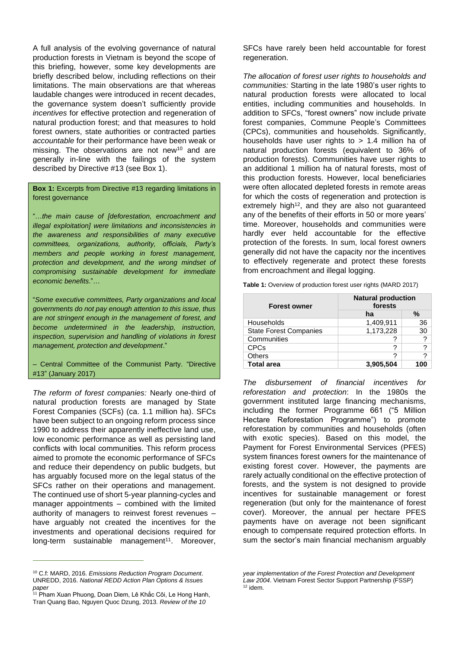A full analysis of the evolving governance of natural production forests in Vietnam is beyond the scope of this briefing, however, some key developments are briefly described below, including reflections on their limitations. The main observations are that whereas laudable changes were introduced in recent decades, the governance system doesn't sufficiently provide *incentives* for effective protection and regeneration of natural production forest; and that measures to hold forest owners, state authorities or contracted parties *accountable* for their performance have been weak or missing. The observations are not new<sup>10</sup> and are generally in-line with the failings of the system described by Directive #13 (see Box 1).

**Box 1:** Excerpts from Directive #13 regarding limitations in forest governance

"…*the main cause of [deforestation, encroachment and illegal exploitation] were limitations and inconsistencies in the awareness and responsibilities of many executive committees, organizations, authority, officials, Party's members and people working in forest management, protection and development, and the wrong mindset of compromising sustainable development for immediate economic benefits*."…

"*Some executive committees, Party organizations and local governments do not pay enough attention to this issue, thus are not stringent enough in the management of forest, and become undetermined in the leadership, instruction, inspection, supervision and handling of violations in forest management, protection and development*."

– Central Committee of the Communist Party. "Directive #13" (January 2017)

*The reform of forest companies:* Nearly one-third of natural production forests are managed by State Forest Companies (SCFs) (ca. 1.1 million ha). SFCs have been subject to an ongoing reform process since 1990 to address their apparently ineffective land use, low economic performance as well as persisting land conflicts with local communities. This reform process aimed to promote the economic performance of SFCs and reduce their dependency on public budgets, but has arguably focused more on the legal status of the SFCs rather on their operations and management. The continued use of short 5-year planning-cycles and manager appointments – combined with the limited authority of managers to reinvest forest revenues – have arguably not created the incentives for the investments and operational decisions required for long-term sustainable management<sup>11</sup>. Moreover,

<sup>10</sup> C.f: MARD, 2016. *Emissions Reduction Program Document*. UNREDD, 2016. *National REDD Action Plan Options & Issues paper*

SFCs have rarely been held accountable for forest regeneration.

*The allocation of forest user rights to households and communities:* Starting in the late 1980's user rights to natural production forests were allocated to local entities, including communities and households. In addition to SFCs, "forest owners" now include private forest companies, Commune People's Committees (CPCs), communities and households. Significantly, households have user rights to  $> 1.4$  million ha of natural production forests (equivalent to 36% of production forests). Communities have user rights to an additional 1 million ha of natural forests, most of this production forests. However, local beneficiaries were often allocated depleted forests in remote areas for which the costs of regeneration and protection is extremely high<sup>12</sup>, and they are also not quaranteed any of the benefits of their efforts in 50 or more years' time. Moreover, households and communities were hardly ever held accountable for the effective protection of the forests. In sum, local forest owners generally did not have the capacity nor the incentives to effectively regenerate and protect these forests from encroachment and illegal logging.

**Table 1:** Overview of production forest user rights (MARD 2017)

| <b>Forest owner</b>           | <b>Natural production</b><br>forests |     |
|-------------------------------|--------------------------------------|-----|
|                               | ha                                   | %   |
| Households                    | 1,409,911                            | 36  |
| <b>State Forest Companies</b> | 1,173,228                            | 30  |
| Communities                   | 7                                    | ?   |
| <b>CPCs</b>                   | ?                                    | ?   |
| Others                        | ?                                    | ?   |
| <b>Total area</b>             | 3,905,504                            | 100 |

*The disbursement of financial incentives for reforestation and protection*: In the 1980s the government instituted large financing mechanisms, including the former Programme 661 ("5 Million Hectare Reforestation Programme") to promote reforestation by communities and households (often with exotic species). Based on this model, the Payment for Forest Environmental Services (PFES) system finances forest owners for the maintenance of existing forest cover. However, the payments are rarely actually conditional on the effective protection of forests, and the system is not designed to provide incentives for sustainable management or forest regeneration (but only for the maintenance of forest cover). Moreover, the annual per hectare PFES payments have on average not been significant enough to compensate required protection efforts. In sum the sector's main financial mechanism arguably

<sup>&</sup>lt;sup>11</sup> Pham Xuan Phuong, Doan Diem, Lê Khắc Côi, Le Hong Hanh, Tran Quang Bao, Nguyen Quoc Dzung, 2013. *Review of the 10* 

*year implementation of the Forest Protection and Development Law 2004*. Vietnam Forest Sector Support Partnership (FSSP)  $12$  idem.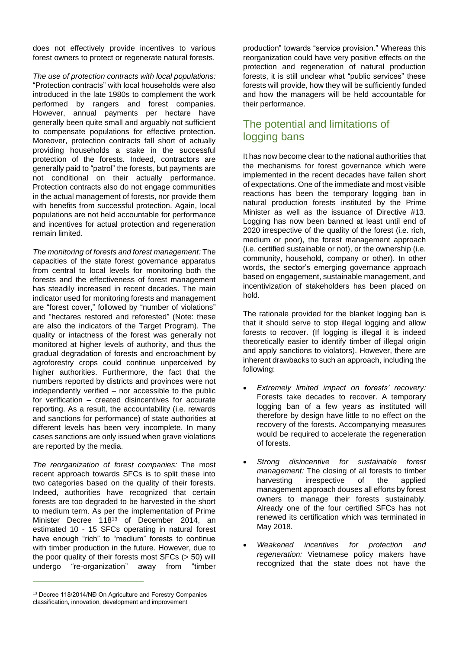does not effectively provide incentives to various forest owners to protect or regenerate natural forests.

*The use of protection contracts with local populations:* "Protection contracts" with local households were also introduced in the late 1980s to complement the work performed by rangers and forest companies. However, annual payments per hectare have generally been quite small and arguably not sufficient to compensate populations for effective protection. Moreover, protection contracts fall short of actually providing households a stake in the successful protection of the forests. Indeed, contractors are generally paid to "patrol" the forests, but payments are not conditional on their actually performance. Protection contracts also do not engage communities in the actual management of forests, nor provide them with benefits from successful protection. Again, local populations are not held accountable for performance and incentives for actual protection and regeneration remain limited.

*The monitoring of forests and forest management:* The capacities of the state forest governance apparatus from central to local levels for monitoring both the forests and the effectiveness of forest management has steadily increased in recent decades. The main indicator used for monitoring forests and management are "forest cover," followed by "number of violations" and "hectares restored and reforested" (Note: these are also the indicators of the Target Program). The quality or intactness of the forest was generally not monitored at higher levels of authority, and thus the gradual degradation of forests and encroachment by agroforestry crops could continue unperceived by higher authorities. Furthermore, the fact that the numbers reported by districts and provinces were not independently verified – nor accessible to the public for verification – created disincentives for accurate reporting. As a result, the accountability (i.e. rewards and sanctions for performance) of state authorities at different levels has been very incomplete. In many cases sanctions are only issued when grave violations are reported by the media.

*The reorganization of forest companies:* The most recent approach towards SFCs is to split these into two categories based on the quality of their forests. Indeed, authorities have recognized that certain forests are too degraded to be harvested in the short to medium term. As per the implementation of Prime Minister Decree 118<sup>13</sup> of December 2014, an estimated 10 - 15 SFCs operating in natural forest have enough "rich" to "medium" forests to continue with timber production in the future. However, due to the poor quality of their forests most SFCs (> 50) will undergo "re-organization" away from "timber

production" towards "service provision." Whereas this reorganization could have very positive effects on the protection and regeneration of natural production forests, it is still unclear what "public services" these forests will provide, how they will be sufficiently funded and how the managers will be held accountable for their performance.

## The potential and limitations of logging bans

It has now become clear to the national authorities that the mechanisms for forest governance which were implemented in the recent decades have fallen short of expectations. One of the immediate and most visible reactions has been the temporary logging ban in natural production forests instituted by the Prime Minister as well as the issuance of Directive #13. Logging has now been banned at least until end of 2020 irrespective of the quality of the forest (i.e. rich, medium or poor), the forest management approach (i.e. certified sustainable or not), or the ownership (i.e. community, household, company or other). In other words, the sector's emerging governance approach based on engagement, sustainable management, and incentivization of stakeholders has been placed on hold.

The rationale provided for the blanket logging ban is that it should serve to stop illegal logging and allow forests to recover. (If logging is illegal it is indeed theoretically easier to identify timber of illegal origin and apply sanctions to violators). However, there are inherent drawbacks to such an approach, including the following:

- *Extremely limited impact on forests' recovery:*  Forests take decades to recover. A temporary logging ban of a few years as instituted will therefore by design have little to no effect on the recovery of the forests. Accompanying measures would be required to accelerate the regeneration of forests.
- *Strong disincentive for sustainable forest management:* The closing of all forests to timber harvesting irrespective of the applied management approach douses all efforts by forest owners to manage their forests sustainably. Already one of the four certified SFCs has not renewed its certification which was terminated in May 2018.
- *Weakened incentives for protection and regeneration:* Vietnamese policy makers have recognized that the state does not have the

<sup>&</sup>lt;sup>13</sup> Decree 118/2014/NĐ On Agriculture and Forestry Companies classification, innovation, development and improvement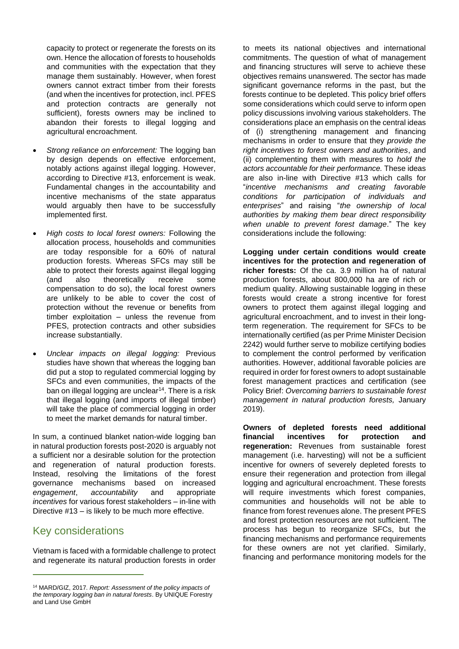capacity to protect or regenerate the forests on its own. Hence the allocation of forests to households and communities with the expectation that they manage them sustainably. However, when forest owners cannot extract timber from their forests (and when the incentives for protection, incl. PFES and protection contracts are generally not sufficient), forests owners may be inclined to abandon their forests to illegal logging and agricultural encroachment.

- *Strong reliance on enforcement:* The logging ban by design depends on effective enforcement, notably actions against illegal logging. However, according to Directive #13, enforcement is weak. Fundamental changes in the accountability and incentive mechanisms of the state apparatus would arguably then have to be successfully implemented first.
- *High costs to local forest owners:* Following the allocation process, households and communities are today responsible for a 60% of natural production forests. Whereas SFCs may still be able to protect their forests against illegal logging (and also theoretically receive some compensation to do so), the local forest owners are unlikely to be able to cover the cost of protection without the revenue or benefits from timber exploitation – unless the revenue from PFES, protection contracts and other subsidies increase substantially.
- *Unclear impacts on illegal logging:* Previous studies have shown that whereas the logging ban did put a stop to regulated commercial logging by SFCs and even communities, the impacts of the ban on illegal logging are unclear<sup>14</sup>. There is a risk that illegal logging (and imports of illegal timber) will take the place of commercial logging in order to meet the market demands for natural timber.

In sum, a continued blanket nation-wide logging ban in natural production forests post-2020 is arguably not a sufficient nor a desirable solution for the protection and regeneration of natural production forests. Instead, resolving the limitations of the forest governance mechanisms based on increased *engagement*, *accountability* and appropriate *incentives* for various forest stakeholders – in-line with Directive #13 – is likely to be much more effective.

#### Key considerations

Vietnam is faced with a formidable challenge to protect and regenerate its natural production forests in order

to meets its national objectives and international commitments. The question of what of management and financing structures will serve to achieve these objectives remains unanswered. The sector has made significant governance reforms in the past, but the forests continue to be depleted. This policy brief offers some considerations which could serve to inform open policy discussions involving various stakeholders. The considerations place an emphasis on the central ideas of (i) strengthening management and financing mechanisms in order to ensure that they *provide the right incentives to forest owners and authorities*, and (ii) complementing them with measures to *hold the actors accountable for their performance.* These ideas are also in-line with Directive #13 which calls for "*incentive mechanisms and creating favorable conditions for participation of individuals and enterprises*" and raising "*the ownership of local authorities by making them bear direct responsibility when unable to prevent forest damage*." The key considerations include the following:

**Logging under certain conditions would create incentives for the protection and regeneration of richer forests:** Of the ca. 3.9 million ha of natural production forests, about 800,000 ha are of rich or medium quality. Allowing sustainable logging in these forests would create a strong incentive for forest owners to protect them against illegal logging and agricultural encroachment, and to invest in their longterm regeneration. The requirement for SFCs to be internationally certified (as per Prime Minister Decision 2242) would further serve to mobilize certifying bodies to complement the control performed by verification authorities. However, additional favorable policies are required in order for forest owners to adopt sustainable forest management practices and certification (see Policy Brief: *Overcoming barriers to sustainable forest management in natural production forests,* January 2019).

**Owners of depleted forests need additional financial incentives for protection and regeneration:** Revenues from sustainable forest management (i.e. harvesting) will not be a sufficient incentive for owners of severely depleted forests to ensure their regeneration and protection from illegal logging and agricultural encroachment. These forests will require investments which forest companies, communities and households will not be able to finance from forest revenues alone. The present PFES and forest protection resources are not sufficient. The process has begun to reorganize SFCs, but the financing mechanisms and performance requirements for these owners are not yet clarified. Similarly, financing and performance monitoring models for the

<sup>14</sup> MARD/GIZ, 2017. *Report: Assessment of the policy impacts of the temporary logging ban in natural forests*. By UNIQUE Forestry and Land Use GmbH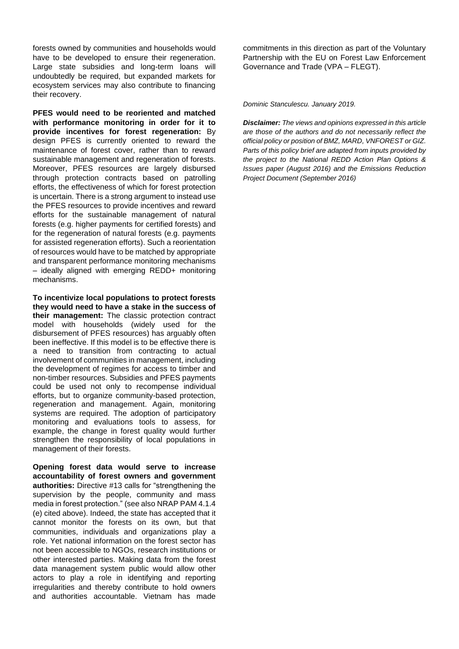forests owned by communities and households would have to be developed to ensure their regeneration. Large state subsidies and long-term loans will undoubtedly be required, but expanded markets for ecosystem services may also contribute to financing their recovery.

**PFES would need to be reoriented and matched with performance monitoring in order for it to provide incentives for forest regeneration:** By design PFES is currently oriented to reward the maintenance of forest cover, rather than to reward sustainable management and regeneration of forests. Moreover, PFES resources are largely disbursed through protection contracts based on patrolling efforts, the effectiveness of which for forest protection is uncertain. There is a strong argument to instead use the PFES resources to provide incentives and reward efforts for the sustainable management of natural forests (e.g. higher payments for certified forests) and for the regeneration of natural forests (e.g. payments for assisted regeneration efforts). Such a reorientation of resources would have to be matched by appropriate and transparent performance monitoring mechanisms – ideally aligned with emerging REDD+ monitoring mechanisms.

**To incentivize local populations to protect forests they would need to have a stake in the success of their management:** The classic protection contract model with households (widely used for the disbursement of PFES resources) has arguably often been ineffective. If this model is to be effective there is a need to transition from contracting to actual involvement of communities in management, including the development of regimes for access to timber and non-timber resources. Subsidies and PFES payments could be used not only to recompense individual efforts, but to organize community-based protection, regeneration and management. Again, monitoring systems are required. The adoption of participatory monitoring and evaluations tools to assess, for example, the change in forest quality would further strengthen the responsibility of local populations in management of their forests.

**Opening forest data would serve to increase accountability of forest owners and government authorities:** Directive #13 calls for "strengthening the supervision by the people, community and mass media in forest protection." (see also NRAP PAM 4.1.4 (e) cited above). Indeed, the state has accepted that it cannot monitor the forests on its own, but that communities, individuals and organizations play a role. Yet national information on the forest sector has not been accessible to NGOs, research institutions or other interested parties. Making data from the forest data management system public would allow other actors to play a role in identifying and reporting irregularities and thereby contribute to hold owners and authorities accountable. Vietnam has made

commitments in this direction as part of the Voluntary Partnership with the EU on Forest Law Enforcement Governance and Trade (VPA – FLEGT).

*Dominic Stanculescu. January 2019.* 

*Disclaimer: The views and opinions expressed in this article are those of the authors and do not necessarily reflect the official policy or position of BMZ, MARD, VNFOREST or GIZ. Parts of this policy brief are adapted from inputs provided by the project to the National REDD Action Plan Options & Issues paper (August 2016) and the Emissions Reduction Project Document (September 2016)*